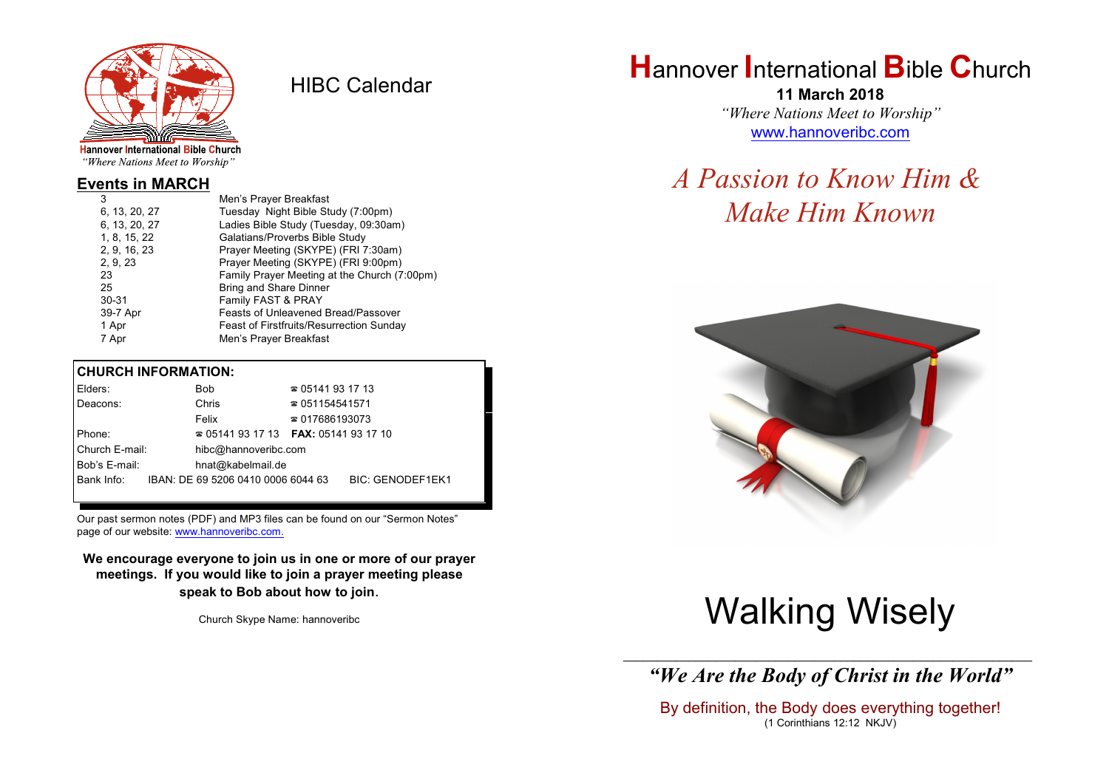

HIBC Calendar

"Where Nations Meet to Worship"

#### **Events in MARCH**

| 3             | Men's Prayer Breakfast                          |
|---------------|-------------------------------------------------|
| 6, 13, 20, 27 | Tuesday Night Bible Study (7:00pm)              |
| 6, 13, 20, 27 | Ladies Bible Study (Tuesday, 09:30am)           |
| 1, 8, 15, 22  | Galatians/Proverbs Bible Study                  |
| 2, 9, 16, 23  | Prayer Meeting (SKYPE) (FRI 7:30am)             |
| 2, 9, 23      | Prayer Meeting (SKYPE) (FRI 9:00pm)             |
| 23            | Family Prayer Meeting at the Church (7:00pm)    |
| 25            | <b>Bring and Share Dinner</b>                   |
| $30 - 31$     | Family FAST & PRAY                              |
| 39-7 Apr      | <b>Feasts of Unleavened Bread/Passover</b>      |
| 1 Apr         | <b>Feast of Firstfruits/Resurrection Sunday</b> |
| 7 Apr         | Men's Prayer Breakfast                          |
|               |                                                 |

#### **CHURCH INFORMATION:**

| Elders:        | <b>Bob</b>                               | $\approx 05141931713$  |                         |
|----------------|------------------------------------------|------------------------|-------------------------|
| Deacons:       | Chris                                    | $\approx 051154541571$ |                         |
|                | Felix                                    | $\approx 017686193073$ |                         |
| Phone:         | $\approx 05141931713$ FAX: 0514193 17 10 |                        |                         |
| Church E-mail: | hibc@hannoveribc.com                     |                        |                         |
| Bob's E-mail:  | hnat@kabelmail.de                        |                        |                         |
| Bank Info:     | IBAN: DE 69 5206 0410 0006 6044 63       |                        | <b>BIC: GENODEF1EK1</b> |
|                |                                          |                        |                         |

Our past sermon notes (PDF) and MP3 files can be found on our "Sermon Notes" page of our website: [www.hannoveribc.com.](http://www.hannoveribc.com.)

**We encourage everyone to join us in one or more of our prayer meetings. If you would like to join a prayer meeting please speak to Bob about how to join**.

Church Skype Name: hannoveribc

## **H**annover **I**nternational **B**ible **C**hurch

**11 March 2018** *"Where Nations Meet to Worship"* [www.hannoveribc.com](http://www.hannoveribc.com)

## *A Passion to Know Him & Make Him Known*



# Walking Wisely

\_\_\_\_\_\_\_\_\_\_\_\_\_\_\_\_\_\_\_\_\_\_\_\_\_\_\_\_\_\_\_\_\_\_\_\_\_\_\_\_\_\_\_\_\_\_\_\_\_\_\_\_\_\_\_\_\_\_\_\_\_\_ *"We Are the Body of Christ in the World"*

By definition, the Body does everything together! (1 Corinthians 12:12 NKJV)